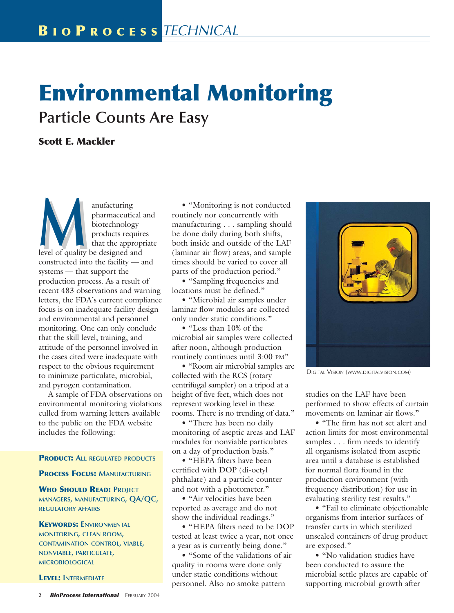# **Environmental Monitoring Particle Counts Are Easy**

## **Scott E. Mackler**

anufacturing<br>
pharmaceutical<br>
biotechnology<br>
products require<br>
that the approp<br>
level of quality be designed and pharmaceutical and biotechnology products requires that the appropriate constructed into the facility — and systems — that support the production process. As a result of recent 483 observations and warning letters, the FDA's current compliance focus is on inadequate facility design and environmental and personnel monitoring. One can only conclude that the skill level, training, and attitude of the personnel involved in the cases cited were inadequate with respect to the obvious requirement to minimize particulate, microbial, and pyrogen contamination.

A sample of FDA observations on environmental monitoring violations culled from warning letters available to the public on the FDA website includes the following:

### **PRODUCT: ALL REGULATED PRODUCTS**

#### **PROCESS FOCUS: MANUFACTURING**

**WHO SHOULD READ: PROJECT MANAGERS, MANUFACTURING, QA/QC, REGULATORY AFFAIRS**

## **KEYWORDS: ENVIRONMENTAL MONITORING, CLEAN ROOM, CONTAMINATION CONTROL, VIABLE, NONVIABLE, PARTICULATE, MICROBIOLOGICAL**

#### **LEVEL: INTERMEDIATE**

• "Monitoring is not conducted routinely nor concurrently with manufacturing . . . sampling should be done daily during both shifts, both inside and outside of the LAF (laminar air flow) areas, and sample times should be varied to cover all parts of the production period."

• "Sampling frequencies and locations must be defined."

• "Microbial air samples under laminar flow modules are collected only under static conditions."

• "Less than 10% of the microbial air samples were collected after noon, although production routinely continues until 3:00 PM"

• "Room air microbial samples are collected with the RCS (rotary centrifugal sampler) on a tripod at a height of five feet, which does not represent working level in these rooms. There is no trending of data."

• "There has been no daily monitoring of aseptic areas and LAF modules for nonviable particulates on a day of production basis."

• "HEPA filters have been certified with DOP (di-octyl phthalate) and a particle counter and not with a photometer."

• "Air velocities have been reported as average and do not show the individual readings."

• "HEPA filters need to be DOP tested at least twice a year, not once a year as is currently being done."

• "Some of the validations of air quality in rooms were done only under static conditions without personnel. Also no smoke pattern



DIGITAL VISION (WWW.DIGITALVISION.COM)

studies on the LAF have been performed to show effects of curtain movements on laminar air flows."

• "The firm has not set alert and action limits for most environmental samples . . . firm needs to identify all organisms isolated from aseptic area until a database is established for normal flora found in the production environment (with frequency distribution) for use in evaluating sterility test results."

• "Fail to eliminate objectionable organisms from interior surfaces of transfer carts in which sterilized unsealed containers of drug product are exposed."

• "No validation studies have been conducted to assure the microbial settle plates are capable of supporting microbial growth after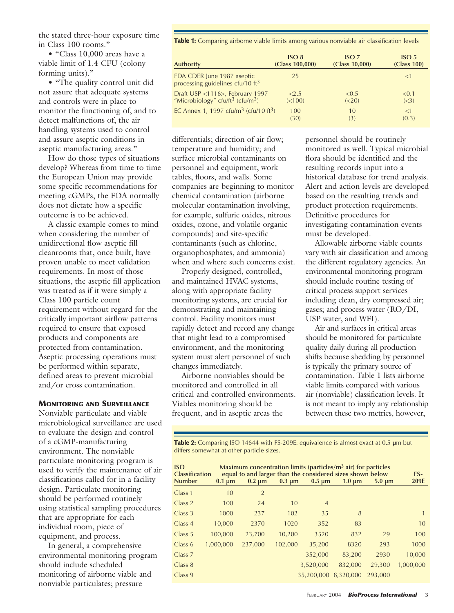the stated three-hour exposure time in Class 100 rooms."

• "Class 10,000 areas have a viable limit of 1.4 CFU (colony forming units)."

• "The quality control unit did not assure that adequate systems and controls were in place to monitor the functioning of, and to detect malfunctions of, the air handling systems used to control and assure aseptic conditions in aseptic manufacturing areas."

How do those types of situations develop? Whereas from time to time the European Union may provide some specific recommendations for meeting cGMPs, the FDA normally does not dictate how a specific outcome is to be achieved.

A classic example comes to mind when considering the number of unidirectional flow aseptic fill cleanrooms that, once built, have proven unable to meet validation requirements. In most of those situations, the aseptic fill application was treated as if it were simply a Class 100 particle count requirement without regard for the critically important airflow patterns required to ensure that exposed products and components are protected from contamination. Aseptic processing operations must be performed within separate, defined areas to prevent microbial and/or cross contamination.

## **MONITORING AND SURVEILLANCE**

Nonviable particulate and viable microbiological surveillance are used to evaluate the design and control of a cGMP-manufacturing environment. The nonviable particulate monitoring program is used to verify the maintenance of air classifications called for in a facility design. Particulate monitoring should be performed routinely using statistical sampling procedures that are appropriate for each individual room, piece of equipment, and process.

In general, a comprehensive environmental monitoring program should include scheduled monitoring of airborne viable and nonviable particulates; pressure

**Table 1:** Comparing airborne viable limits among various nonviable air classification levels

| <b>Authority</b>                                                                            | ISO <sub>8</sub> | ISO <sub>7</sub> | ISO <sub>5</sub> |
|---------------------------------------------------------------------------------------------|------------------|------------------|------------------|
|                                                                                             | (Class 100,000)  | (Class 10,000)   | (Class 100)      |
| FDA CDER June 1987 aseptic<br>processing guidelines cfu/10 ft <sup>3</sup>                  | 25               |                  | <1               |
| Draft USP <1116>, February 1997<br>"Microbiology" cfu/ft <sup>3</sup> (cfu/m <sup>3</sup> ) | 2.5              | < 0.5            | < 0.1            |
|                                                                                             | (< 100)          | (<20)            | (<3)             |
| EC Annex 1, 1997 cfu/m <sup>3</sup> (cfu/10 ft <sup>3</sup> )                               | 100              | 10               | <1               |
|                                                                                             | (30)             | (3)              | (0.3)            |

differentials; direction of air flow; temperature and humidity; and surface microbial contaminants on personnel and equipment, work tables, floors, and walls. Some companies are beginning to monitor chemical contamination (airborne molecular contamination involving, for example, sulfuric oxides, nitrous oxides, ozone, and volatile organic compounds) and site-specific contaminants (such as chlorine, organophosphates, and ammonia) when and where such concerns exist.

Properly designed, controlled, and maintained HVAC systems, along with appropriate facility monitoring systems, are crucial for demonstrating and maintaining control. Facility monitors must rapidly detect and record any change that might lead to a compromised environment, and the monitoring system must alert personnel of such changes immediately.

Airborne nonviables should be monitored and controlled in all critical and controlled environments. Viables monitoring should be frequent, and in aseptic areas the

personnel should be routinely monitored as well. Typical microbial flora should be identified and the resulting records input into a historical database for trend analysis. Alert and action levels are developed based on the resulting trends and product protection requirements. Definitive procedures for investigating contamination events must be developed.

Allowable airborne viable counts vary with air classification and among the different regulatory agencies. An environmental monitoring program should include routine testing of critical process support services including clean, dry compressed air; gases; and process water (RO/DI, USP water, and WFI).

Air and surfaces in critical areas should be monitored for particulate quality daily during all production shifts because shedding by personnel is typically the primary source of contamination. Table 1 lists airborne viable limits compared with various air (nonviable) classification levels. It is not meant to imply any relationship between these two metrics, however,

Table 2: Comparing ISO 14644 with FS-209E: equivalence is almost exact at 0.5 µm but differs somewhat at other particle sizes.

| <b>ISO</b><br>Maximum concentration limits (particles/ $m3$ air) for particles<br>equal to and larger than the considered sizes shown below<br><b>Classification</b> |             |                |             |                | FS-         |             |           |
|----------------------------------------------------------------------------------------------------------------------------------------------------------------------|-------------|----------------|-------------|----------------|-------------|-------------|-----------|
| <b>Number</b>                                                                                                                                                        | $0.1 \mu m$ | $0.2 \mu m$    | $0.3 \mu m$ | $0.5 \mu m$    | $1.0 \mu m$ | $5.0 \mu m$ | 209E      |
| Class 1                                                                                                                                                              | 10          | $\overline{2}$ |             |                |             |             |           |
| Class 2                                                                                                                                                              | 100         | 24             | 10          | $\overline{4}$ |             |             |           |
| Class 3                                                                                                                                                              | 1000        | 237            | 102         | 35             | 8           |             |           |
| Class 4                                                                                                                                                              | 10,000      | 2370           | 1020        | 352            | 83          |             | 10        |
| Class 5                                                                                                                                                              | 100,000     | 23,700         | 10,200      | 3520           | 832         | 29          | 100       |
| Class 6                                                                                                                                                              | 1,000,000   | 237,000        | 102,000     | 35,200         | 8320        | 293         | 1000      |
| Class <sub>7</sub>                                                                                                                                                   |             |                |             | 352,000        | 83,200      | 2930        | 10,000    |
| Class 8                                                                                                                                                              |             |                |             | 3,520,000      | 832,000     | 29,300      | 1.000.000 |
| Class 9                                                                                                                                                              |             |                |             | 35,200,000     | 8,320,000   | 293,000     |           |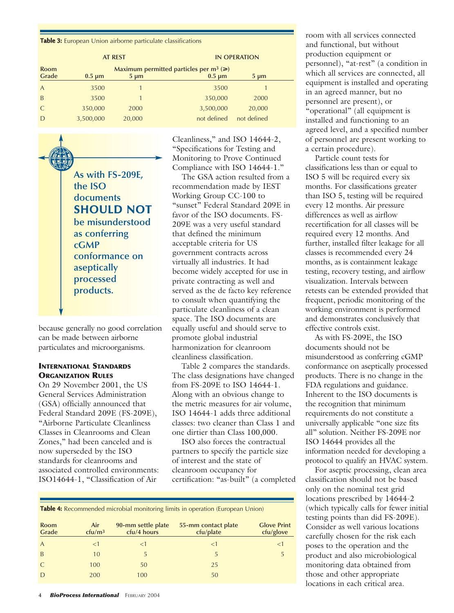**Table 3:** European Union airborne particulate classifications

| <b>AT REST</b>       |             |           | <b>IN OPERATION</b>                                             |             |  |
|----------------------|-------------|-----------|-----------------------------------------------------------------|-------------|--|
| <b>Room</b><br>Grade | $0.5 \mu m$ | $5 \mu m$ | Maximum permitted particles per $m^3$ ( $\geq$ )<br>$0.5 \mu m$ | $5 \mu m$   |  |
| $\overline{A}$       | 3500        |           | 3500                                                            |             |  |
| B                    | 3500        |           | 350,000                                                         | 2000        |  |
|                      | 350,000     | 2000      | 3,500,000                                                       | 20,000      |  |
| D                    | 3,500,000   | 20,000    | not defined                                                     | not defined |  |

**As with FS-209E, the ISO documents SHOULD NOT be misunderstood as conferring cGMP conformance on aseptically processed products.** O

because generally no good correlation can be made between airborne particulates and microorganisms.

## **INTERNATIONAL STANDARDS ORGANIZATION RULES**

On 29 November 2001, the US General Services Administration (GSA) officially announced that Federal Standard 209E (FS-209E), "Airborne Particulate Cleanliness Classes in Cleanrooms and Clean Zones," had been canceled and is now superseded by the ISO standards for cleanrooms and associated controlled environments: ISO14644-1, "Classification of Air

Cleanliness," and ISO 14644-2, "Specifications for Testing and Monitoring to Prove Continued Compliance with ISO 14644-1."

The GSA action resulted from a recommendation made by IEST Working Group CC-100 to "sunset" Federal Standard 209E in favor of the ISO documents. FS-209E was a very useful standard that defined the minimum acceptable criteria for US government contracts across virtually all industries. It had become widely accepted for use in private contracting as well and served as the de facto key reference to consult when quantifying the particulate cleanliness of a clean space. The ISO documents are equally useful and should serve to promote global industrial harmonization for cleanroom cleanliness classification.

Table 2 compares the standards. The class designations have changed from FS-209E to ISO 14644-1. Along with an obvious change to the metric measures for air volume, ISO 14644-1 adds three additional classes: two cleaner than Class 1 and one dirtier than Class 100,000.

ISO also forces the contractual partners to specify the particle size of interest and the state of cleanroom occupancy for certification: "as-built" (a completed

**Table 4:** Recommended microbial monitoring limits in operation (European Union)

| Air<br>ctu/m <sup>3</sup> | 90-mm settle plate<br>cfu/4 hours | 55-mm contact plate<br>cfu/plate | <b>Glove Print</b><br>cfu/glove |
|---------------------------|-----------------------------------|----------------------------------|---------------------------------|
| <1                        | $<$ 1                             | $<$ 1                            | $\leq$                          |
| 10                        | 5                                 | 5                                |                                 |
| 100                       | 50                                | 25                               |                                 |
| 200                       | 100                               | 50                               |                                 |
|                           |                                   |                                  |                                 |

room with all services connected and functional, but without production equipment or personnel), "at-rest" (a condition in which all services are connected, all equipment is installed and operating in an agreed manner, but no personnel are present), or "operational" (all equipment is installed and functioning to an agreed level, and a specified number of personnel are present working to a certain procedure).

Particle count tests for classifications less than or equal to ISO 5 will be required every six months. For classifications greater than ISO 5, testing will be required every 12 months. Air pressure differences as well as airflow recertification for all classes will be required every 12 months. And further, installed filter leakage for all classes is recommended every 24 months, as is containment leakage testing, recovery testing, and airflow visualization. Intervals between retests can be extended provided that frequent, periodic monitoring of the working environment is performed and demonstrates conclusively that effective controls exist.

As with FS-209E, the ISO documents should not be misunderstood as conferring cGMP conformance on aseptically processed products. There is no change in the FDA regulations and guidance. Inherent to the ISO documents is the recognition that minimum requirements do not constitute a universally applicable "one size fits all" solution. Neither FS-209E nor ISO 14644 provides all the information needed for developing a protocol to qualify an HVAC system.

For aseptic processing, clean area classification should not be based only on the nominal test grid locations prescribed by 14644-2 (which typically calls for fewer initial testing points than did FS-209E). Consider as well various locations carefully chosen for the risk each poses to the operation and the product and also microbiological monitoring data obtained from those and other appropriate locations in each critical area.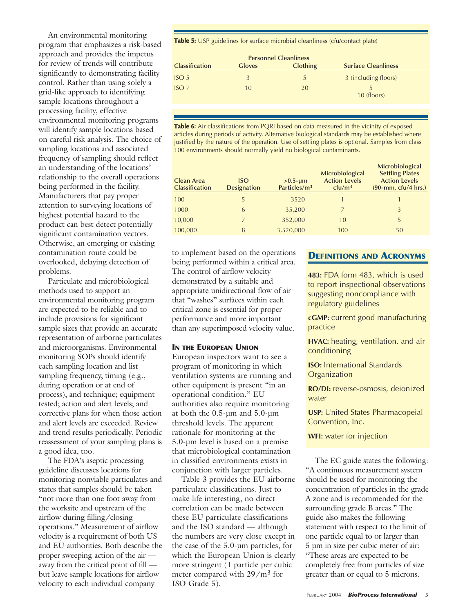An environmental monitoring program that emphasizes a risk-based approach and provides the impetus for review of trends will contribute significantly to demonstrating facility control. Rather than using solely a grid-like approach to identifying sample locations throughout a processing facility, effective environmental monitoring programs will identify sample locations based on careful risk analysis. The choice of sampling locations and associated frequency of sampling should reflect an understanding of the locations' relationship to the overall operations being performed in the facility. Manufacturers that pay proper attention to surveying locations of highest potential hazard to the product can best detect potentially significant contamination vectors. Otherwise, an emerging or existing contamination route could be overlooked, delaying detection of problems.

Particulate and microbiological methods used to support an environmental monitoring program are expected to be reliable and to include provisions for significant sample sizes that provide an accurate representation of airborne particulates and microorganisms. Environmental monitoring SOPs should identify each sampling location and list sampling frequency, timing (e.g., during operation or at end of process), and technique; equipment tested; action and alert levels; and corrective plans for when those action and alert levels are exceeded. Review and trend results periodically. Periodic reassessment of your sampling plans is a good idea, too.

The FDA's aseptic processing guideline discusses locations for monitoring nonviable particulates and states that samples should be taken "not more than one foot away from the worksite and upstream of the airflow during filling/closing operations." Measurement of airflow velocity is a requirement of both US and EU authorities. Both describe the proper sweeping action of the air away from the critical point of fill but leave sample locations for airflow velocity to each individual company

Table 5: USP guidelines for surface microbial cleanliness (cfu/contact plate)

| <b>Personnel Cleanliness</b> |               |                 |                            |  |  |
|------------------------------|---------------|-----------------|----------------------------|--|--|
| <b>Classification</b>        | <b>Gloves</b> | <b>Clothing</b> | <b>Surface Cleanliness</b> |  |  |
| ISO <sub>5</sub>             | 3             | $\mathcal{L}$   | 3 (including floors)       |  |  |
| ISO <sub>7</sub>             | 10            | 20.             | 10 (floors)                |  |  |

**Table 6:** Air classifications from PQRI based on data measured in the vicinity of exposed articles during periods of activity. Alternative biological standards may be established where justified by the nature of the operation. Use of settling plates is optional. Samples from class 100 environments should normally yield no biological contaminants.

| Clean Area<br><b>Classification</b> | <b>ISO</b><br><b>Designation</b> | $>0.5$ -µm<br>Particles/m <sup>3</sup> | Microbiological<br><b>Action Levels</b><br>ctu/m <sup>3</sup> | Microbiological<br><b>Settling Plates</b><br><b>Action Levels</b><br>$(90-mm, cfu/4 hrs.)$ |
|-------------------------------------|----------------------------------|----------------------------------------|---------------------------------------------------------------|--------------------------------------------------------------------------------------------|
| 100                                 | 5                                | 3520                                   |                                                               |                                                                                            |
| 1000                                | 6                                | 35,200                                 |                                                               | 3                                                                                          |
| 10,000                              |                                  | 352,000                                | 10                                                            | 5                                                                                          |
| 100,000                             | 8                                | 3,520,000                              | 100                                                           | 50                                                                                         |

to implement based on the operations being performed within a critical area. The control of airflow velocity demonstrated by a suitable and appropriate unidirectional flow of air that "washes" surfaces within each critical zone is essential for proper performance and more important than any superimposed velocity value.

#### **IN THE EUROPEAN UNION**

European inspectors want to see a program of monitoring in which ventilation systems are running and other equipment is present "in an operational condition." EU authorities also require monitoring at both the 0.5-µm and 5.0-µm threshold levels. The apparent rationale for monitoring at the 5.0-µm level is based on a premise that microbiological contamination in classified environments exists in conjunction with larger particles.

Table 3 provides the EU airborne particulate classifications. Just to make life interesting, no direct correlation can be made between these EU particulate classifications and the ISO standard — although the numbers are very close except in the case of the 5.0-µm particles, for which the European Union is clearly more stringent (1 particle per cubic meter compared with 29/m<sup>3</sup> for ISO Grade 5).

## **DEFINITIONS AND ACRONYMS**

**483:** FDA form 483, which is used to report inspectional observations suggesting noncompliance with regulatory guidelines

**cGMP:** current good manufacturing practice

**HVAC:** heating, ventilation, and air conditioning

**ISO:** International Standards **Organization** 

**RO/DI:** reverse-osmosis, deionized water

**USP:** United States Pharmacopeial Convention, Inc.

**WFI:** water for injection

The EC guide states the following: "A continuous measurement system should be used for monitoring the concentration of particles in the grade A zone and is recommended for the surrounding grade B areas." The guide also makes the following statement with respect to the limit of one particle equal to or larger than 5 µm in size per cubic meter of air: "These areas are expected to be completely free from particles of size greater than or equal to 5 microns.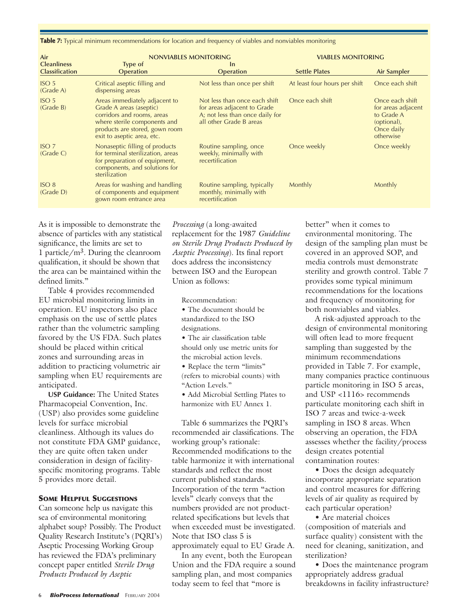**Table 7:** Typical minimum recommendations for location and frequency of viables and nonviables monitoring

| Air                                         | NONVIABLES MONITORING                                                                                                                                                                  |                                                                                                                            | <b>VIABLES MONITORING</b>     |                                                                                               |
|---------------------------------------------|----------------------------------------------------------------------------------------------------------------------------------------------------------------------------------------|----------------------------------------------------------------------------------------------------------------------------|-------------------------------|-----------------------------------------------------------------------------------------------|
| <b>Cleanliness</b><br><b>Classification</b> | Type of<br><b>Operation</b>                                                                                                                                                            | <b>In</b><br><b>Operation</b>                                                                                              | <b>Settle Plates</b>          | Air Sampler                                                                                   |
| ISO <sub>5</sub><br>(Grade A)               | Critical aseptic filling and<br>dispensing areas                                                                                                                                       | Not less than once per shift                                                                                               | At least four hours per shift | Once each shift                                                                               |
| ISO <sub>5</sub><br>(Grade B)               | Areas immediately adjacent to<br>Grade A areas (aseptic)<br>corridors and rooms, areas<br>where sterile components and<br>products are stored, gown room<br>exit to aseptic area, etc. | Not less than once each shift<br>for areas adjacent to Grade<br>A; not less than once daily for<br>all other Grade B areas | Once each shift               | Once each shift<br>for areas adjacent<br>to Grade A<br>(optional),<br>Once daily<br>otherwise |
| ISO <sub>7</sub><br>(Grade C)               | Nonaseptic filling of products<br>for terminal sterilization, areas<br>for preparation of equipment,<br>components, and solutions for<br>sterilization                                 | Routine sampling, once<br>weekly, minimally with<br>recertification                                                        | Once weekly                   | Once weekly                                                                                   |
| ISO 8<br>(Grade D)                          | Areas for washing and handling<br>of components and equipment<br>gown room entrance area                                                                                               | Routine sampling, typically<br>monthly, minimally with<br>recertification                                                  | Monthly                       | Monthly                                                                                       |

As it is impossible to demonstrate the absence of particles with any statistical significance, the limits are set to 1 particle/m3. During the cleanroom qualification, it should be shown that the area can be maintained within the defined limits<sup>"</sup>

Table 4 provides recommended EU microbial monitoring limits in operation. EU inspectors also place emphasis on the use of settle plates rather than the volumetric sampling favored by the US FDA. Such plates should be placed within critical zones and surrounding areas in addition to practicing volumetric air sampling when EU requirements are anticipated.

**USP Guidance:** The United States Pharmacopeial Convention, Inc. (USP) also provides some guideline levels for surface microbial cleanliness. Although its values do not constitute FDA GMP guidance, they are quite often taken under consideration in design of facilityspecific monitoring programs. Table 5 provides more detail.

#### **SOME HELPFUL SUGGESTIONS**

Can someone help us navigate this sea of environmental monitoring alphabet soup? Possibly. The Product Quality Research Institute's (PQRI's) Aseptic Processing Working Group has reviewed the FDA's preliminary concept paper entitled *Sterile Drug Products Produced by Aseptic*

*Processing* (a long-awaited replacement for the 1987 *Guideline on Sterile Drug Products Produced by Aseptic Processing*). Its final report does address the inconsistency between ISO and the European Union as follows:

Recommendation:

- The document should be standardized to the ISO designations.
- The air classification table should only use metric units for the microbial action levels.
- Replace the term "limits" (refers to microbial counts) with "Action Levels."
- Add Microbial Settling Plates to harmonize with EU Annex 1.

Table 6 summarizes the PQRI's recommended air classifications. The working group's rationale: Recommended modifications to the table harmonize it with international standards and reflect the most current published standards. Incorporation of the term "action levels" clearly conveys that the numbers provided are not productrelated specifications but levels that when exceeded must be investigated. Note that ISO class 5 is approximately equal to EU Grade A.

In any event, both the European Union and the FDA require a sound sampling plan, and most companies today seem to feel that "more is

better" when it comes to environmental monitoring. The design of the sampling plan must be covered in an approved SOP, and media controls must demonstrate sterility and growth control. Table 7 provides some typical minimum recommendations for the locations and frequency of monitoring for both nonviables and viables.

A risk-adjusted approach to the design of environmental monitoring will often lead to more frequent sampling than suggested by the minimum recommendations provided in Table 7. For example, many companies practice continuous particle monitoring in ISO 5 areas, and USP <1116> recommends particulate monitoring each shift in ISO 7 areas and twice-a-week sampling in ISO 8 areas. When observing an operation, the FDA assesses whether the facility/process design creates potential contamination routes:

• Does the design adequately incorporate appropriate separation and control measures for differing levels of air quality as required by each particular operation?

• Are material choices (composition of materials and surface quality) consistent with the need for cleaning, sanitization, and sterilization?

• Does the maintenance program appropriately address gradual breakdowns in facility infrastructure?